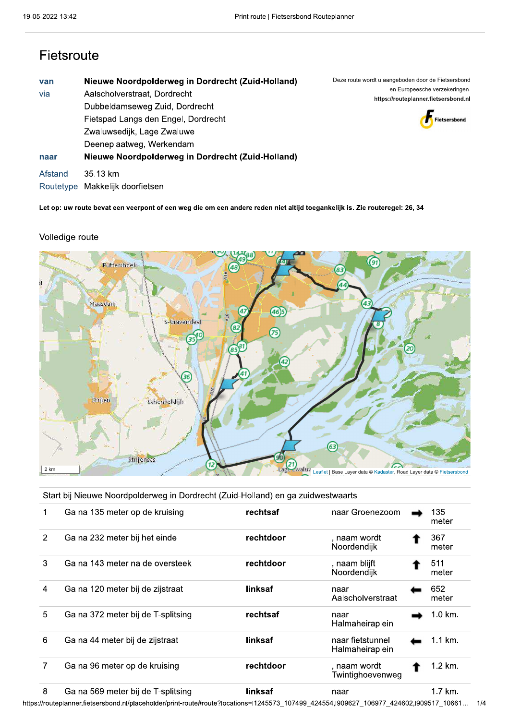## Fietsroute

| van<br>via | Nieuwe Noordpolderweg in Dordrecht (Zuid-Holland)<br>Aalscholverstraat, Dordrecht<br>Dubbeldamseweg Zuid, Dordrecht<br>Fietspad Langs den Engel, Dordrecht | Deze route wordt u aangeboden door de Fietsersbond<br>en Europeesche verzekeringen.<br>https://routeplanner.fietsersbond.nl<br>Fietsersbond |  |  |  |
|------------|------------------------------------------------------------------------------------------------------------------------------------------------------------|---------------------------------------------------------------------------------------------------------------------------------------------|--|--|--|
| naar       | Zwaluwsedijk, Lage Zwaluwe<br>Deeneplaatweg, Werkendam<br>Nieuwe Noordpolderweg in Dordrecht (Zuid-Holland)                                                |                                                                                                                                             |  |  |  |
| Afstand    | 35.13 km<br>Routetype Makkelijk doorfietsen                                                                                                                |                                                                                                                                             |  |  |  |

Let op: uw route bevat een veerpont of een weg die om een andere reden niet altijd toegankelijk is. Zie routeregel: 26, 34

## Volledige route



Start bij Nieuwe Noordpolderweg in Dordrecht (Zuid-Holland) en ga zuidwestwaarts

|   | Ga na 135 meter op de kruising     | rechtsaf  | naar Groenezoom                     | 135<br>meter |
|---|------------------------------------|-----------|-------------------------------------|--------------|
| 2 | Ga na 232 meter bij het einde      | rechtdoor | . naam wordt<br>Noordendijk         | 367<br>meter |
| 3 | Ga na 143 meter na de oversteek    | rechtdoor | , naam blijft<br>Noordendijk        | 511<br>meter |
| 4 | Ga na 120 meter bij de zijstraat   | linksaf   | naar<br>Aalscholverstraat           | 652<br>meter |
| 5 | Ga na 372 meter bij de T-splitsing | rechtsaf  | naar<br>Halmaheiraplein             | $1.0$ km.    |
| 6 | Ga na 44 meter bij de zijstraat    | linksaf   | naar fietstunnel<br>Halmaheiraplein | 1.1 km.      |
|   | Ga na 96 meter op de kruising      | rechtdoor | , naam wordt<br>Twintighoevenweg    | 1.2 km.      |
| 8 | Ga na 569 meter bij de T-splitsing | linksaf   | naar                                | 1.7 km.      |

https://routeplanner.fietsersbond.nl/placeholder/print-route#route?locations=l1245573\_107499\_424554,l909627\_106977\_424602,l909517\_10661... 1/4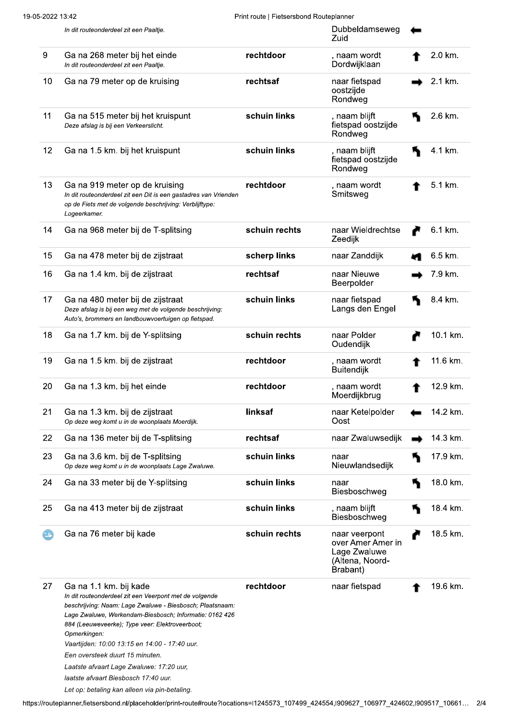Print route | Fietsersbond Routeplanner

|     | In dit routeonderdeel zit een Paaltje.                                                                                                                                                                                                                                                                                                                                                                                                                                                               |               | Dubbeldamseweg<br>Zuid                                                            |          |
|-----|------------------------------------------------------------------------------------------------------------------------------------------------------------------------------------------------------------------------------------------------------------------------------------------------------------------------------------------------------------------------------------------------------------------------------------------------------------------------------------------------------|---------------|-----------------------------------------------------------------------------------|----------|
| 9   | Ga na 268 meter bij het einde<br>In dit routeonderdeel zit een Paaltje.                                                                                                                                                                                                                                                                                                                                                                                                                              | rechtdoor     | , naam wordt<br>Dordwijklaan                                                      | 2.0 km.  |
| 10  | Ga na 79 meter op de kruising                                                                                                                                                                                                                                                                                                                                                                                                                                                                        | rechtsaf      | naar fietspad<br>oostzijde<br>Rondweg                                             | 2.1 km.  |
| 11  | Ga na 515 meter bij het kruispunt<br>Deze afslag is bij een Verkeerslicht.                                                                                                                                                                                                                                                                                                                                                                                                                           | schuin links  | , naam blijft<br>fietspad oostzijde<br>Rondweg                                    | 2.6 km.  |
| 12  | Ga na 1.5 km. bij het kruispunt                                                                                                                                                                                                                                                                                                                                                                                                                                                                      | schuin links  | , naam blijft<br>fietspad oostzijde<br>Rondweg                                    | 4.1 km.  |
| 13  | Ga na 919 meter op de kruising<br>In dit routeonderdeel zit een Dit is een gastadres van Vrienden<br>op de Fiets met de volgende beschrijving: Verblijftype:<br>Logeerkamer.                                                                                                                                                                                                                                                                                                                         | rechtdoor     | , naam wordt<br>Smitsweg                                                          | 5.1 km.  |
| 14  | Ga na 968 meter bij de T-splitsing                                                                                                                                                                                                                                                                                                                                                                                                                                                                   | schuin rechts | naar Wieldrechtse<br>Zeedijk                                                      | 6.1 km.  |
| 15  | Ga na 478 meter bij de zijstraat                                                                                                                                                                                                                                                                                                                                                                                                                                                                     | scherp links  | naar Zanddijk                                                                     | 6.5 km.  |
| 16  | Ga na 1.4 km. bij de zijstraat                                                                                                                                                                                                                                                                                                                                                                                                                                                                       | rechtsaf      | naar Nieuwe<br>Beerpolder                                                         | 7.9 km.  |
| 17  | Ga na 480 meter bij de zijstraat<br>Deze afslag is bij een weg met de volgende beschrijving:<br>Auto's, brommers en landbouwvoertuigen op fietspad.                                                                                                                                                                                                                                                                                                                                                  | schuin links  | naar fietspad<br>Langs den Engel                                                  | 8.4 km.  |
| 18  | Ga na 1.7 km. bij de Y-splitsing                                                                                                                                                                                                                                                                                                                                                                                                                                                                     | schuin rechts | naar Polder<br>Oudendijk                                                          | 10.1 km. |
| 19  | Ga na 1.5 km. bij de zijstraat                                                                                                                                                                                                                                                                                                                                                                                                                                                                       | rechtdoor     | , naam wordt<br><b>Buitendijk</b>                                                 | 11.6 km. |
| 20  | Ga na 1.3 km. bij het einde                                                                                                                                                                                                                                                                                                                                                                                                                                                                          | rechtdoor     | , naam wordt<br>Moerdijkbrug                                                      | 12.9 km. |
| 21  | Ga na 1.3 km. bij de zijstraat<br>Op deze weg komt u in de woonplaats Moerdijk.                                                                                                                                                                                                                                                                                                                                                                                                                      | linksaf       | naar Ketelpolder<br>Oost                                                          | 14.2 km. |
| 22  | Ga na 136 meter bij de T-splitsing                                                                                                                                                                                                                                                                                                                                                                                                                                                                   | rechtsaf      | naar Zwaluwsedijk                                                                 | 14.3 km. |
| 23  | Ga na 3.6 km. bij de T-splitsing<br>Op deze weg komt u in de woonplaats Lage Zwaluwe.                                                                                                                                                                                                                                                                                                                                                                                                                | schuin links  | naar<br>Nieuwlandsedijk                                                           | 17.9 km. |
| 24  | Ga na 33 meter bij de Y-splitsing                                                                                                                                                                                                                                                                                                                                                                                                                                                                    | schuin links  | naar<br>Biesboschweg                                                              | 18.0 km. |
| 25  | Ga na 413 meter bij de zijstraat                                                                                                                                                                                                                                                                                                                                                                                                                                                                     | schuin links  | , naam blijft<br>Biesboschweg                                                     | 18.4 km. |
| 15, | Ga na 76 meter bij kade                                                                                                                                                                                                                                                                                                                                                                                                                                                                              | schuin rechts | naar veerpont<br>over Amer Amer in<br>Lage Zwaluwe<br>(Altena, Noord-<br>Brabant) | 18.5 km. |
| 27  | Ga na 1.1 km. bij kade<br>In dit routeonderdeel zit een Veerpont met de volgende<br>beschrijving: Naam: Lage Zwaluwe - Biesbosch; Plaatsnaam:<br>Lage Zwaluwe, Werkendam-Biesbosch; Informatie: 0162 426<br>884 (Leeuweveerke); Type veer: Elektroveerboot;<br>Opmerkingen:<br>Vaartijden: 10:00 13:15 en 14:00 - 17:40 uur.<br>Een oversteek duurt 15 minuten.<br>Laatste afvaart Lage Zwaluwe: 17:20 uur,<br>laatste afvaart Biesbosch 17:40 uur.<br>Let op: betaling kan alleen via pin-betaling. | rechtdoor     | naar fietspad                                                                     | 19.6 km. |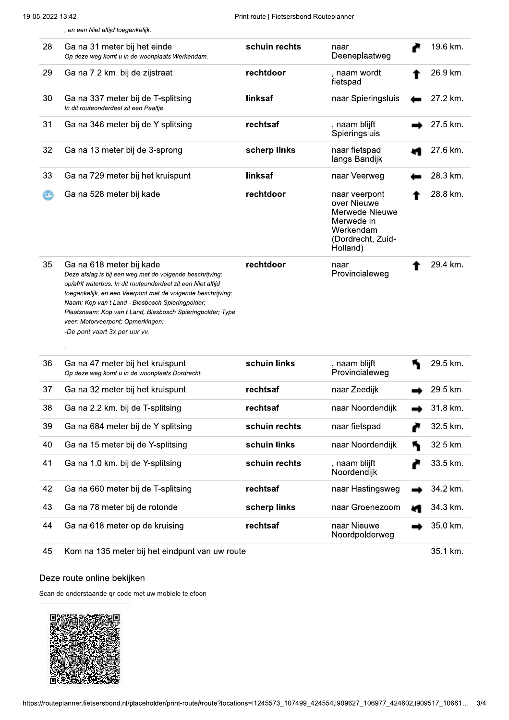|    | , en een Niet altijd toegankelijk.                                                                                                                                                                                                                                                                                                                                                                          |               |                                                                                                            |          |
|----|-------------------------------------------------------------------------------------------------------------------------------------------------------------------------------------------------------------------------------------------------------------------------------------------------------------------------------------------------------------------------------------------------------------|---------------|------------------------------------------------------------------------------------------------------------|----------|
| 28 | Ga na 31 meter bij het einde<br>Op deze weg komt u in de woonplaats Werkendam.                                                                                                                                                                                                                                                                                                                              | schuin rechts | naar<br>Deeneplaatweg                                                                                      | 19.6 km. |
| 29 | Ga na 7.2 km. bij de zijstraat                                                                                                                                                                                                                                                                                                                                                                              | rechtdoor     | , naam wordt<br>fietspad                                                                                   | 26.9 km. |
| 30 | Ga na 337 meter bij de T-splitsing<br>In dit routeonderdeel zit een Paaltje.                                                                                                                                                                                                                                                                                                                                | linksaf       | naar Spieringsluis                                                                                         | 27.2 km. |
| 31 | Ga na 346 meter bij de Y-splitsing                                                                                                                                                                                                                                                                                                                                                                          | rechtsaf      | , naam blijft<br>Spieringsluis                                                                             | 27.5 km. |
| 32 | Ga na 13 meter bij de 3-sprong                                                                                                                                                                                                                                                                                                                                                                              | scherp links  | naar fietspad<br>langs Bandijk                                                                             | 27.6 km. |
| 33 | Ga na 729 meter bij het kruispunt                                                                                                                                                                                                                                                                                                                                                                           | linksaf       | naar Veerweg                                                                                               | 28.3 km. |
|    | Ga na 528 meter bij kade                                                                                                                                                                                                                                                                                                                                                                                    | rechtdoor     | naar veerpont<br>over Nieuwe<br>Merwede Nieuwe<br>Merwede in<br>Werkendam<br>(Dordrecht, Zuid-<br>Holland) | 28.8 km. |
| 35 | Ga na 618 meter bij kade<br>Deze afslag is bij een weg met de volgende beschrijving:<br>op/afrit waterbus. In dit routeonderdeel zit een Niet altijd<br>toegankelijk, en een Veerpont met de volgende beschrijving:<br>Naam: Kop van t Land - Biesbosch Spieringpolder;<br>Plaatsnaam: Kop van t Land, Biesbosch Spieringpolder; Type<br>veer: Motorveerpont; Opmerkingen:<br>-De pont vaart 3x per uur vv. | rechtdoor     | naar<br>Provincialeweg                                                                                     | 29.4 km. |
| 36 | Ga na 47 meter bij het kruispunt<br>Op deze weg komt u in de woonplaats Dordrecht.                                                                                                                                                                                                                                                                                                                          | schuin links  | , naam blijft<br>Provincialeweg                                                                            | 29.5 km. |
| 37 | Ga na 32 meter bij het kruispunt                                                                                                                                                                                                                                                                                                                                                                            | rechtsaf      | naar Zeedijk                                                                                               | 29.5 km. |
| 38 | Ga na 2.2 km. bij de T-splitsing                                                                                                                                                                                                                                                                                                                                                                            | rechtsaf      | naar Noordendijk                                                                                           | 31.8 km. |
| 39 | Ga na 684 meter bij de Y-splitsing                                                                                                                                                                                                                                                                                                                                                                          | schuin rechts | naar fietspad                                                                                              | 32.5 km. |
| 40 | Ga na 15 meter bij de Y-splitsing                                                                                                                                                                                                                                                                                                                                                                           | schuin links  | naar Noordendijk                                                                                           | 32.5 km. |
| 41 | Ga na 1.0 km. bij de Y-splitsing                                                                                                                                                                                                                                                                                                                                                                            | schuin rechts | , naam blijft<br>Noordendijk                                                                               | 33.5 km. |
| 42 | Ga na 660 meter bij de T-splitsing                                                                                                                                                                                                                                                                                                                                                                          | rechtsaf      | naar Hastingsweg                                                                                           | 34.2 km. |
| 43 | Ga na 78 meter bij de rotonde                                                                                                                                                                                                                                                                                                                                                                               | scherp links  | naar Groenezoom                                                                                            | 34.3 km. |
| 44 | Ga na 618 meter op de kruising                                                                                                                                                                                                                                                                                                                                                                              | rechtsaf      | naar Nieuwe<br>Noordpolderweg                                                                              | 35.0 km. |

Kom na 135 meter bij het eindpunt van uw route 45

35.1 km.

## Deze route online bekijken

Scan de onderstaande qr-code met uw mobiele telefoon